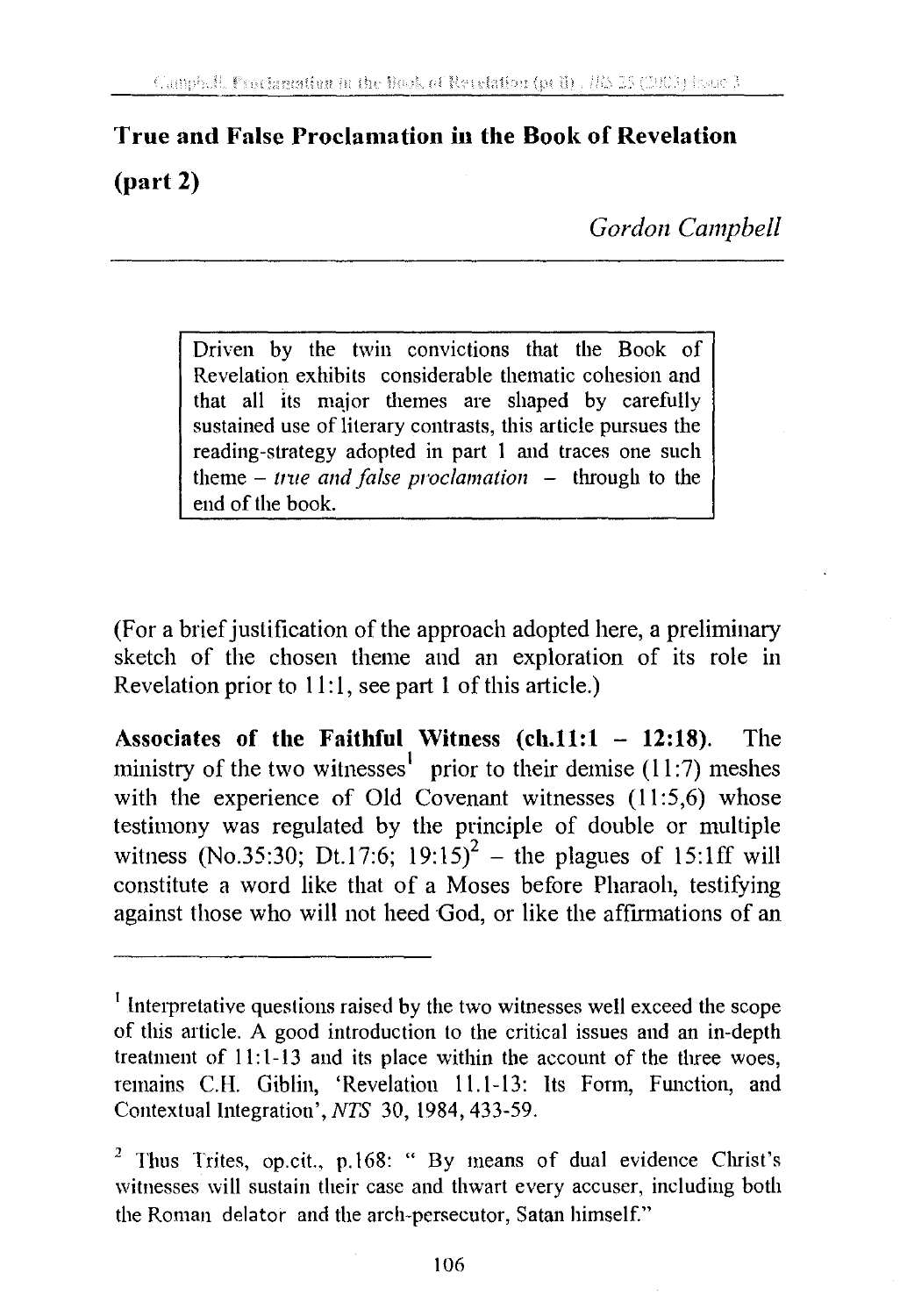## **True and False Proclamation iu the Book of Revelation (part 2)**

*Gordon Campbell* 

Driven by the twin convictions that the Book of Revelation exhibits considerable thematic cohesion and that all its major themes are shaped by carefully sustained use of literary contrasts, this article pursues the reading-strategy adopted in part I and traces one such  $t$ heme  $-$  *true and false proclamation*  $-$  through to the end of the book.

(For a brief justification of the approach adopted here, a preliminary sketch of the chosen theme and an exploration of its role in Revelation prior to **11:** 1, see part **l** of this article.)

**Associates of the Faithful Witness (ch.11:1 - 12:18).** The ministry of the two witnesses<sup>1</sup> prior to their demise (11:7) meshes with the experience of Old Covenant witnesses (11:5,6) whose testimony was regulated by the principle of double or multiple witness (No.35:30; Dt.17:6;  $19:15$ )<sup>2</sup> – the plagues of 15:1ff will constitute a word like that of a Moses before Pharaoh, testifying against those who will not heed God, or like the affirmations of an

<sup>&</sup>lt;sup>1</sup> Interpretative questions raised by the two witnesses well exceed the scope of this article. A good introduction to the critical issues and an in-depth treatment of  $11:1-13$  and its place within the account of the three woes, remains C.H. Giblin, 'Revelation 11.1-13: Its Form, Function, and Contextual Integration', *NTS* 30, 1984, 433-59.

<sup>2</sup> Thus Trites, op.cit., p.168: " By means of dual evidence Christ's witnesses will sustain their case and thwart every accuser, including both the Roman delator and the arch-persecutor, Satan himself."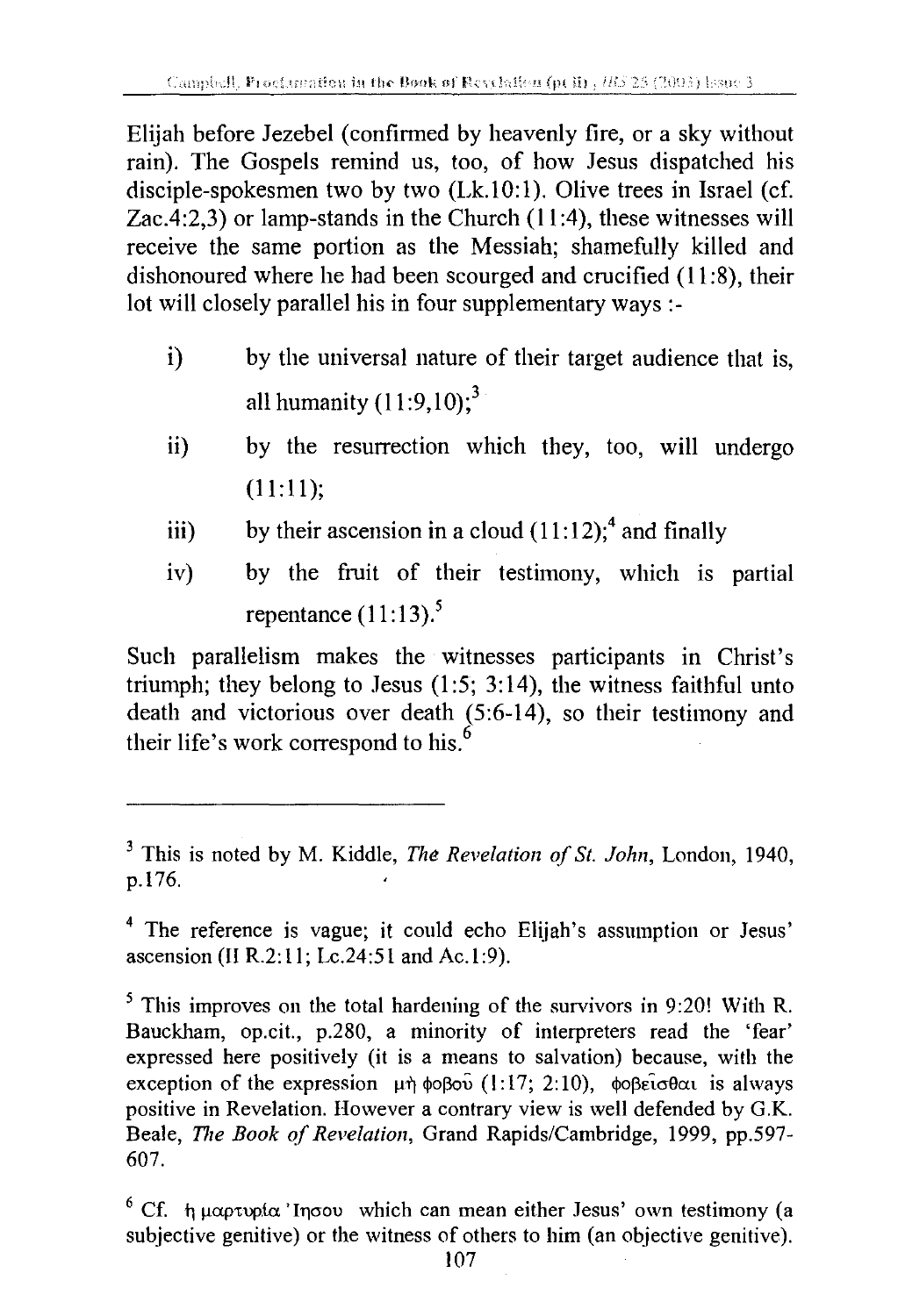Elijah before Jezebel (confirmed by heavenly fire, or a sky without rain). The Gospels remind us, too, of how Jesus dispatched his disciple-spokesmen two by two  $(Lk.10:1)$ . Olive trees in Israel (cf. Zac.4:2,3) or lamp-stands in the Church (11 :4), these witnesses will receive the same portion as the Messiah; shamefully killed and dishonoured where he had been scourged and crucified (11 :8), their lot will closely parallel his in four supplementary ways :-

- i) by the universal nature of their target audience that is, all humanity  $(11:9,10);$ <sup>3</sup>
- ii) by the resurrection which they, too, will undergo (11:11);
- iii) by their ascension in a cloud  $(11:12)$ ;<sup>4</sup> and finally
- iv) by the fruit of their testimony, which is partial repentance  $(11:13)$ .<sup>5</sup>

Such parallelism makes the witnesses participants in Christ's triumph; they belong to Jesus  $(1:5; 3:14)$ , the witness faithful unto death and victorious over death (5:6-14), so their testimony and their life's work correspond to his.<sup>6</sup>

<sup>3</sup> This is noted by M. Kiddle, *The Revelation of St. John,* London, 1940, p.176.

<sup>&</sup>lt;sup>4</sup> The reference is vague; it could echo Elijah's assumption or Jesus' ascension (II R.2:11; Lc.24:51 and Ac.1:9).

<sup>&</sup>lt;sup>5</sup> This improves on the total hardening of the survivors in 9:20! With R. Bauckham, op.cit., p.280, a minority of interpreters read the 'fear' expressed here positively (it is a means to salvation) because, with the exception of the expression  $\mu$ n  $\phi$  $\beta$ o $\hat{\mu}$  (1:17; 2:10),  $\phi$  $\beta$  $\hat{\epsilon}$ i $\sigma$  $\theta$  $\alpha$  is always positive in Revelation. However a contrary view is well defended by G.K. Beale, *The Book of Revelation,* Grand Rapids/Cambridge, 1999, pp.597- 607.

<sup>&</sup>lt;sup>6</sup> Cf.  $t_1$   $\mu$   $\alpha$  $p$  tupica 'Inoou which can mean either Jesus' own testimony (a subjective genitive) or the witness of others to him (an objective genitive).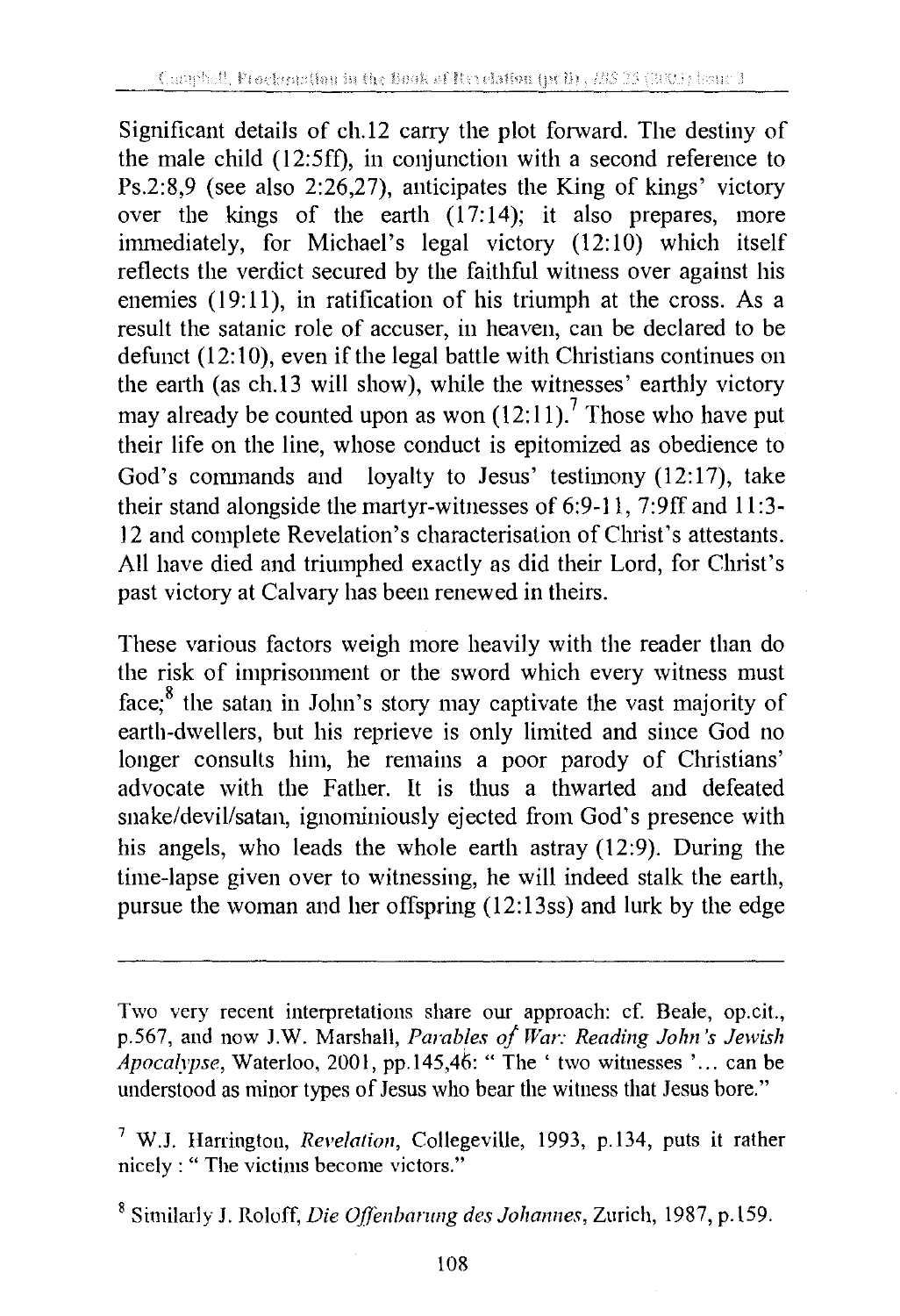Significant details of ch.12 carry the plot forward. The destiny of the male child (12:5ff), in conjunction with a second reference to Ps.2:8,9 (see also 2:26,27), anticipates the King of kings' victory over the kings of the earth  $(17:14)$ ; it also prepares, more immediately, for Michael's legal victory (12:10) which itself reflects the verdict secured by the faithful witness over against his enemies  $(19:11)$ , in ratification of his triumph at the cross. As a result the satanic role of accuser, in heaven, can be declared to be defunct (12:10), even if the legal battle with Christians continues on he earth (as ch.13 will show), while the witnesses' earthly victory may already be counted upon as won  $(12:11)$ .<sup>7</sup> Those who have put their life on the line, whose conduct is epitomized as obedience to God's commands and loyalty to Jesus' testimony  $(12:17)$ , take their stand alongside the martyr-witnesses of 6:9-11, 7:9ff and 11 :3- 12 and complete Revelation's characterisation of Christ's attestants. All have died and triumphed exactly as did their Lord, for Christ's past victory at Calvary has been renewed in theirs.

These various factors weigh more heavily with the reader than do the risk of imprisonment or the sword which every witness must face; 8 the satan in John's story may captivate the vast majority of earth-dwellers, but his reprieve is only limited and since God no longer consults him, he remains a poor parody of Christians' advocate with the Father. It is thus a thwarted and defeated snake/devil/satan, ignominiously ejected from God's presence with his angels, who leads the whole earth astray (12:9). During the time-lapse given over to witnessing, he will indeed stalk the earth, pursue the woman and her offspring (12:13ss) and lurk by the edge

Two very recent interpretations share our approach: cf. Beale, op.cit., p.567, and now J.W. Marshall, *Parables of War: Reading John's Jewish Apocalypse,* Waterloo, 2001, pp.145,46: "The' two witnesses' ... can be understood as minor types of Jesus who bear the witness that Jesus bore."

<sup>7</sup> W.J. Harrington, *Revelation,* Collegeville, 1993, p.134, puts it rather nicely : "The victims become victors."

<sup>&</sup>lt;sup>8</sup> Similarly J. Roloff, *Die Offenbarung des Johannes*, Zurich, 1987, p.159.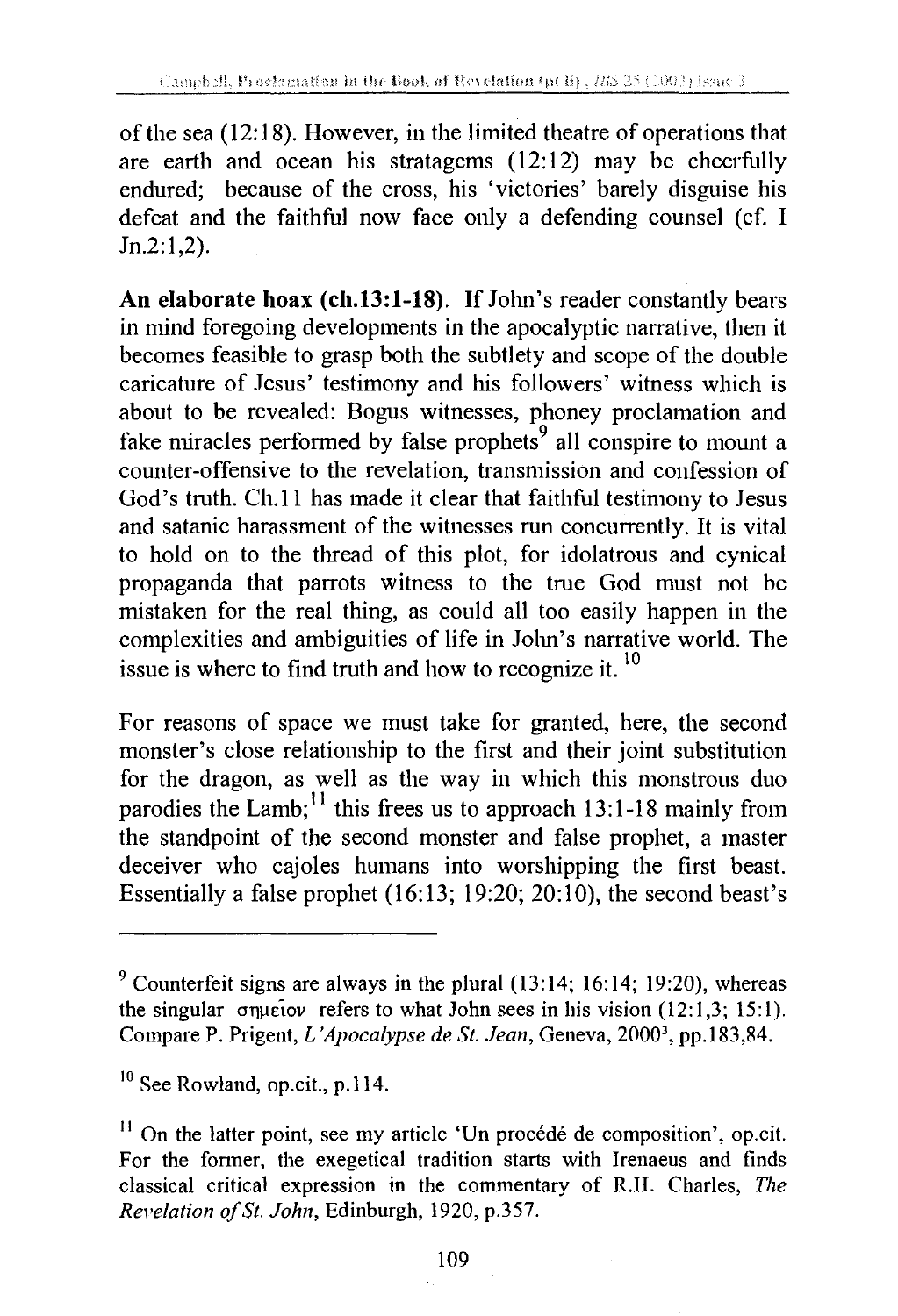of the sea (12: 18). However, in the limited theatre of operations that are earth and ocean his stratagems (12:12) may be cheerfully endured; because of the cross, his 'victories' barely disguise his defeat and the faithful now face only a defending counsel (cf. I Jn.2:1,2).

**An elaborate hoax (ch.13:1-18).** If John's reader constantly bears in mind foregoing developments in the apocalyptic narrative, then it becomes feasible to grasp both the subtlety and scope of the double caricature of Jesus' testimony and his followers' witness which is about to be revealed: Bogus witnesses, phoney proclamation and fake miracles performed by false prophets<sup>9</sup> all conspire to mount a counter-offensive to the revelation, transmission and confession of God's truth. Ch.11 has made it clear that faithful testimony to Jesus and satanic harassment of the witnesses run concurrently. It is vital to hold on to the thread of this plot, for idolatrous and cynical propaganda that parrots witness to the true God must not be mistaken for the real thing, as could all too easily happen in the complexities and ambiguities of life in John's narrative world. The issue is where to find truth and how to recognize it.<sup>10</sup>

For reasons of space we must take for granted, here, the second monster's close relationship to the first and their joint substitution for the dragon, as well as the way in which this monstrous duo parodies the Lamb;<sup>11</sup> this frees us to approach 13:1-18 mainly from the standpoint of the second monster and false prophet, a master deceiver who cajoles humans into worshipping the first beast. Essentially a false prophet (16:13; 19:20; 20:10), the second beast's

 $9$  Counterfeit signs are always in the plural (13:14; 16:14; 19:20), whereas the singular  $\sigma$ queiov refers to what John sees in his vision (12:1,3; 15:1). Compare P. Prigent, *L 'Apocalypse de St. Jean,* Geneva, 20003, pp.183,84.

<sup>&</sup>lt;sup>10</sup> See Rowland, op.cit., p.114.

 $11$  On the latter point, see my article 'Un procédé de composition', op.cit. For the fonner, the exegetical tradition starts with Irenaeus and finds classical critical expression in the commentary of R.H. Charles, *The Revelation of St. John,* Edinburgh, 1920, p.357.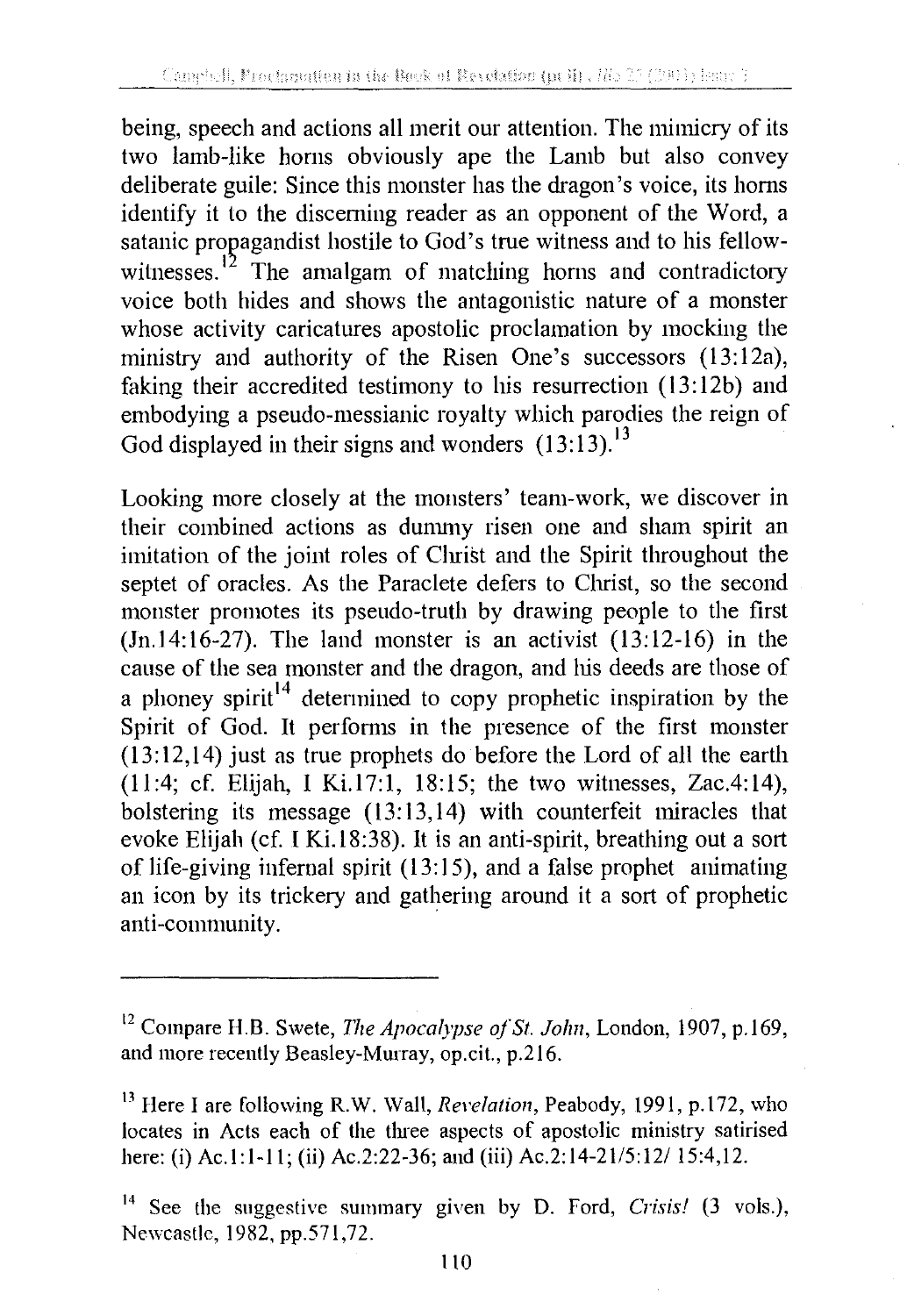being, speech and actions all merit our attention. The mimicry of its two lamb-like horns obviously ape the Lamb but also convey deliberate guile: Since this monster has the dragon's voice, its horns identify it to the discerning reader as an opponent of the Word, a satanic propagandist hostile to God's true witness and to his fellowwitnesses.<sup>12</sup> The amalgam of matching horns and contradictory voice both hides and shows the antagonistic nature of a monster whose activity caricatures apostolic proclamation by mocking the ministry and authority of the Risen One's successors (13:12a), faking their accredited testimony to his resurrection  $(13:12b)$  and embodying a pseudo-messianic royalty which parodies the reign of God displayed in their signs and wonders  $(13:13).$ <sup>13</sup>

Looking more closely at the monsters' team-work, we discover in their combined actions as dununy risen one and sham spirit an imitation of the joint roles of Christ and the Spirit throughout the septet of oracles. As the Paraclete defers to Christ, so the second monster promotes its pseudo-truth by drawing people to the first  $(In.14:16-27)$ . The land monster is an activist  $(13:12-16)$  in the cause of the sea monster and the dragon, and his deeds are those of a phoney spirit<sup>14</sup> determined to copy prophetic inspiration by the Spirit of God. It performs in the presence of the first monster (13: 12, 14) just as true prophets do before the Lord of all the earth (11:4; cf. Elijah, I Ki.17:1, 18:15; the two witnesses, Zac.4:14), bolstering its message (13:13,14) with counterfeit miracles that evoke Elijah (cf. I Ki.18:38). It is an anti-spirit, breathing out a sort of life-giving infernal spirit (13: 15), and a false prophet animating an icon by its trickery and gathering around it a sort of prophetic anti-community.

<sup>&</sup>lt;sup>12</sup> Compare H.B. Swete, *The Apocalypse of St. John*, London, 1907, p.169, and more recently Beasley-Mmray, op.cit., p.216.

<sup>&</sup>lt;sup>13</sup> Here I are following R.W. Wall, *Revelation*, Peabody, 1991, p.172, who locates in Acts each of the three aspects of apostolic ministry satirised here: (i) Ac.1:1-11; (ii) Ac.2:22-36; and (iii) Ac.2:14-21/5:12/ 15:4,12.

<sup>14</sup> See the suggestive summary given by D. Ford, *Crisis!* (3 vols.), Newcastle, 1982, pp.571,72.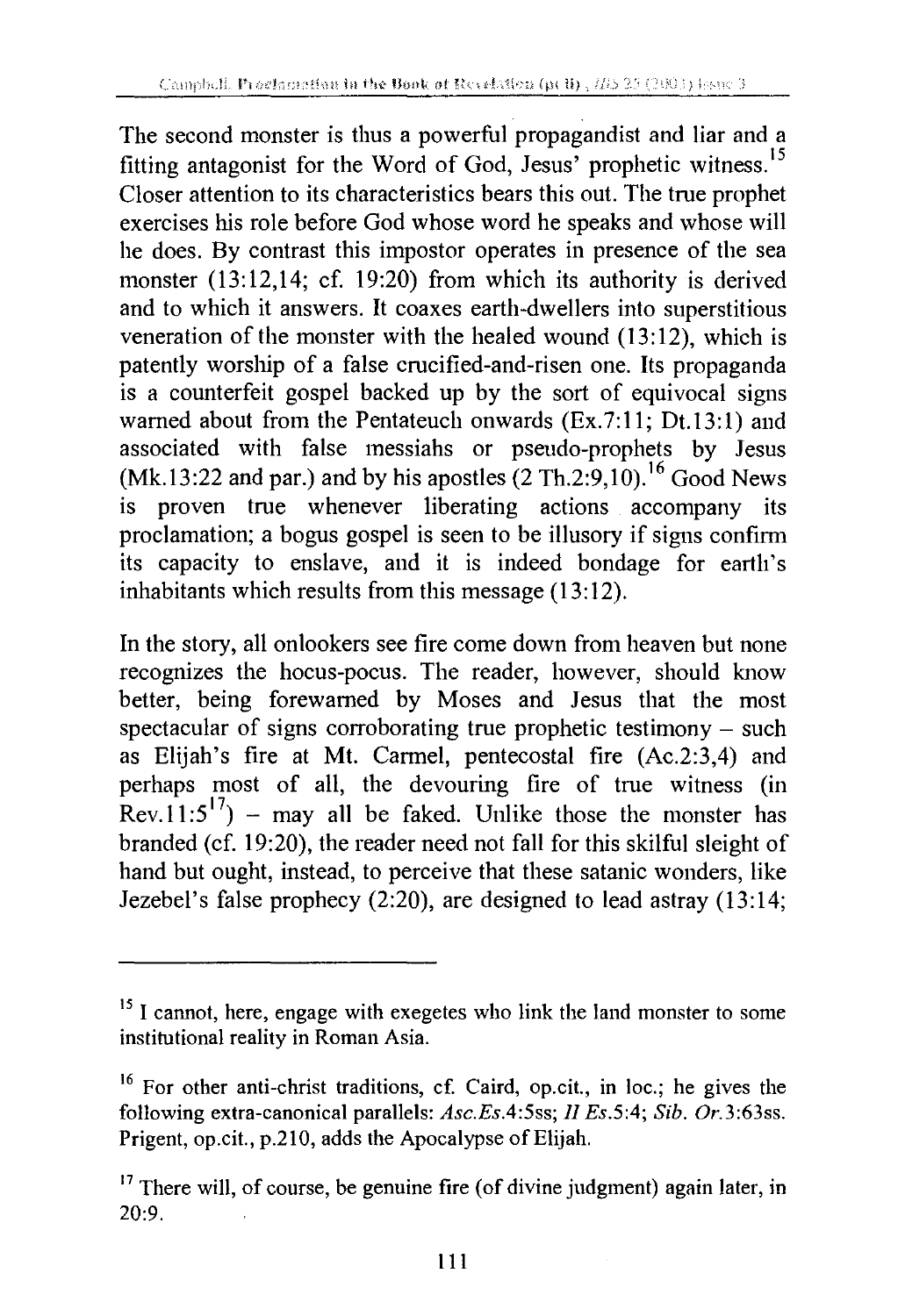The second monster is thus a powerful propagandist and liar and a fitting antagonist for the Word of God, Jesus' prophetic witness. <sup>15</sup> Closer attention to its characteristics bears this out. The true prophet exercises his role before God whose word he speaks and whose will he does. By contrast this impostor operates in presence of the sea monster (13:12,14; cf. 19:20) from which its authority is derived and to which it answers. It coaxes earth-dwellers into superstitious veneration of the monster with the healed wound  $(13:12)$ , which is patently worship of a false crucified-and-risen one. Its propaganda is a counterfeit gospel backed up by the sort of equivocal signs warned about from the Pentateuch onwards (Ex.7:11; Dt.13:1) and associated with false messiahs or pseudo-prophets by Jesus (Mk.13:22 and par.) and by his apostles  $(2 Th.2:9,10)$ .<sup>16</sup> Good News is proven true whenever liberating actions accompany its proclamation; a bogus gospel is seen to be illusory if signs confirm its capacity to enslave, and it is indeed bondage for earth's inhabitants which results from this message  $(13:12)$ .

In the story, all onlookers see fire come down from heaven but none recognizes the hocus-pocus. The reader, however, should know better, being forewarned by Moses and Jesus that the most spectacular of signs corroborating true prophetic testimony - such as Elijah's fire at Mt. Carmel, pentecostal fire (Ac.2:3,4) and perhaps most of all, the devouring fire of true witness (in Rev.11:5<sup>17</sup>) – may all be faked. Unlike those the monster has branded (cf. 19:20), the reader need not fall for this skilful sleight of hand but ought, instead, to perceive that these satanic wonders, like Jezebel's false prophecy (2:20), are designed to lead astray (13:14;

<sup>&</sup>lt;sup>15</sup> I cannot, here, engage with exegetes who link the land monster to some institutional reality in Roman Asia.

<sup>&</sup>lt;sup>16</sup> For other anti-christ traditions, cf. Caird, op.cit., in loc.; he gives the following extra-canonical parallels: *Asc.Es.4:5ss; II Es.5:4; Sib.* Or.3:63ss. Prigent, op.cit., p.210, adds the Apocalypse of Elijah.

<sup>&</sup>lt;sup>17</sup> There will, of course, be genuine fire (of divine judgment) again later, in  $20:9.$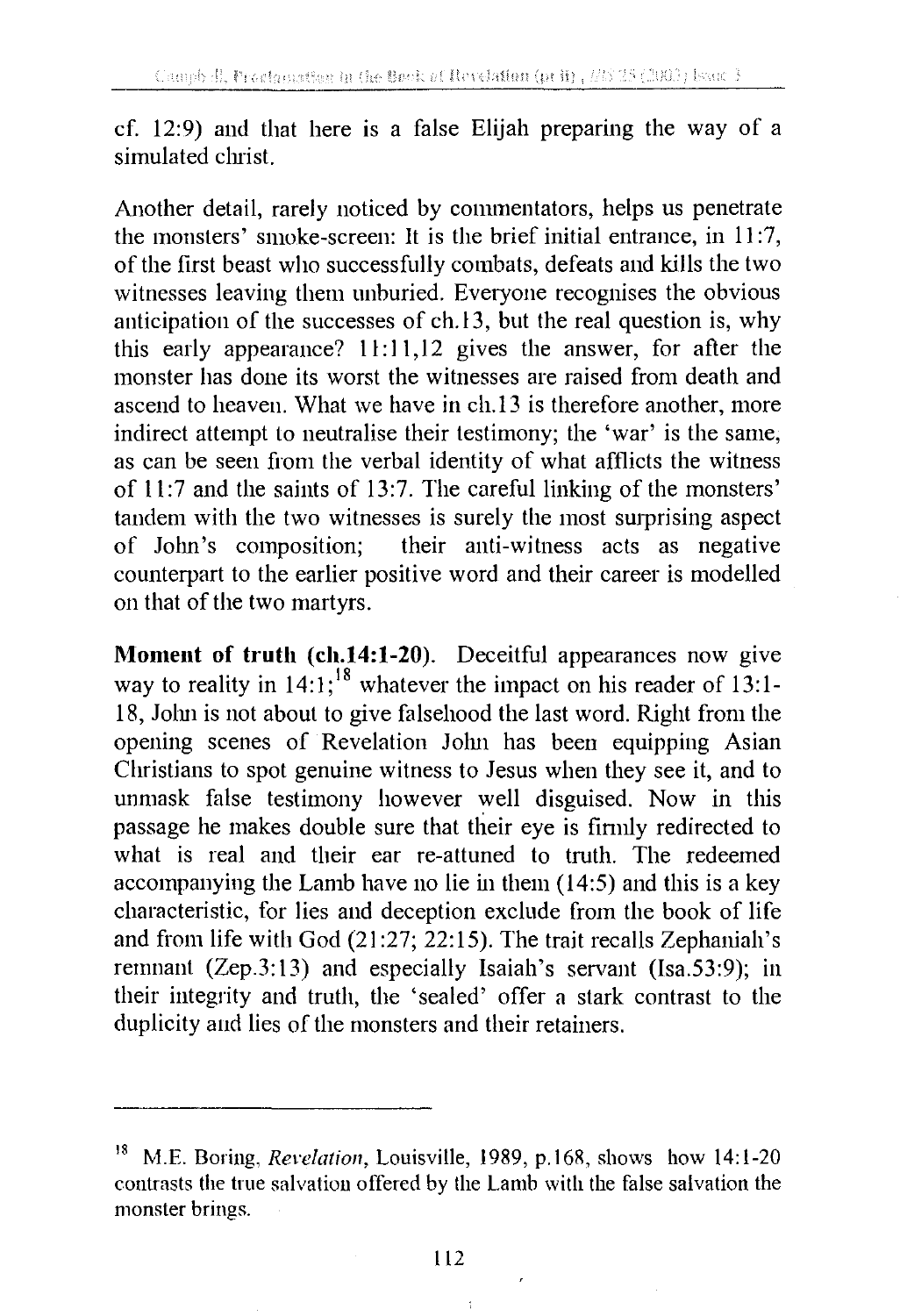cf. 12:9) and that here is a false Elijah preparing the way of a simulated christ.

Another detail, rarely noticed by commentators, helps us penetrate the monsters' smoke-screen: It is the brief initial entrance, in 11 :7, of the first beast who successfully combats, defeats and kills the two witnesses leaving them unburied. Everyone recognises the obvious anticipation of the successes of ch.13, but the real question is, why this early appearance?  $11:11,12$  gives the answer, for after the monster has done its worst the witnesses are raised from death and ascend to heaven. What we have in ch.13 is therefore another, more indirect attempt to neutralise their testimony; the 'war' is the same, as can be seen from the verbal identity of what afflicts the witness of 11:7 and the saints of 13:7. The careful linking of the monsters' tandem with the two witnesses is surely the most surprising aspect of John's composition; their anti-witness acts as negative counterpart to the earlier positive word and their career is modelled on that of the two martyrs.

**Moment of truth (ch.14:1-20).** Deceitful appearances now give way to reality in  $14:1$ ;<sup>18</sup> whatever the impact on his reader of 13:1-18, John is not about to give falsehood the last word. Right from the opening scenes of Revelation John has been equipping Asian Christians to spot genuine witness to Jesus when they see it, and to unmask false testimony however well disguised. Now in this passage he makes double sure that their eye is firmly redirected to what is real and their ear re-attuned to truth. The redeemed accompanying the Lamb have no lie in them (14:5) and this is a key characteristic, for lies and deception exclude from the book of life and from life with God (21 :27; 22:15). The trait recalls Zephaniah's remnant (Zep.3:13) and especially Isaiah's servant (Isa.53:9); in their integrity and truth, the 'sealed' offer a stark contrast to the duplicity and lies of the monsters and their retainers.

 $\ddot{ }$ 

<sup>18</sup> M.E. Boring, *Revelation,* Louisville, 1989, p.168, shows how 14:1-20 contrasts the true salvation offered by the Lamb with the false salvation the monster brings.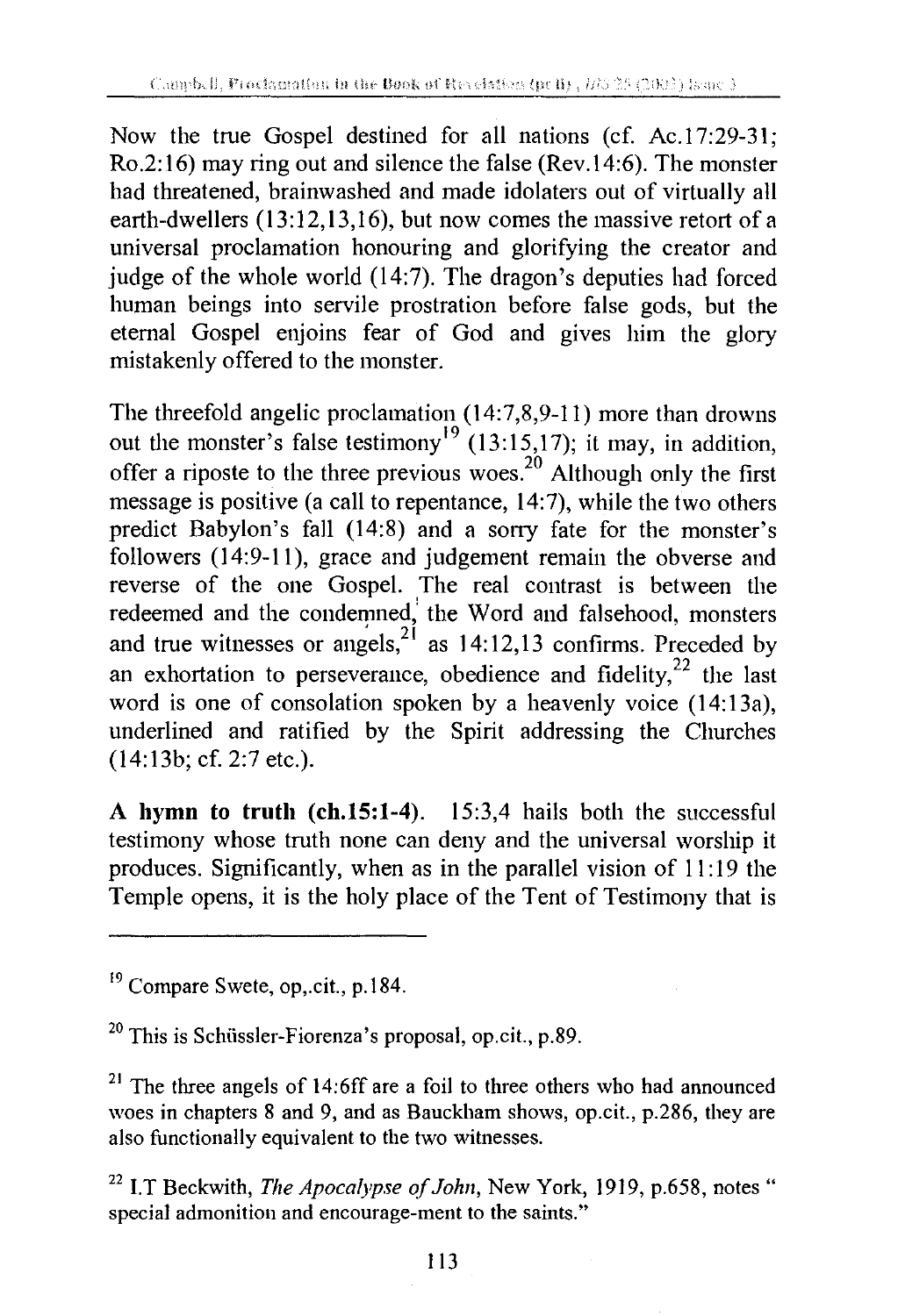Now the true Gospel destined for all nations (cf. Ac.17:29-31; Ro.2:16) may ring out and silence the false (Rev.14:6). The monster had threatened, brainwashed and made idolaters out of virtually all earth-dwellers (13:12,13,16), but now comes the massive retort of a universal proclamation honouring and glorifying the creator and judge of the whole world (14:7). The dragon's deputies had forced human beings into servile prostration before false gods, but the eternal Gospel enjoins fear of God and gives him the glory mistakenly offered to the monster.

The threefold angelic proclamation (14:7,8,9-11) more than drowns out the monster's false testimony<sup>19</sup> (13:15,17); it may, in addition, offer a riposte to the three previous woes.<sup>20</sup> Although only the first message is positive (a call to repentance, 14:7), while the two others predict Babylon's fall (14:8) and a sorry fate for the monster's followers (14:9-11), grace and judgement remain the obverse and reverse of the one Gospel. The real contrast is between the redeemed and the condemned, the Word and falsehood, monsters and true witnesses or angels,  $2^{2}$  as 14:12,13 confirms. Preceded by an exhortation to perseverance, obedience and fidelity,  $22$  the last word is one of consolation spoken by a heavenly voice (14:13a), underlined and ratified by the Spirit addressing the Churches (14:13b; cf. 2:7 etc.).

A **hymn to truth (ch.15:1-4).** 15:3,4 hails both the successful testimony whose truth none can deny and the universal worship it produces. Significantly, when as in the parallel vision of 11: 19 the Temple opens, it is the holy place of the Tent of Testimony that is

<sup>&</sup>lt;sup>19</sup> Compare Swete, op..cit., p.184.

<sup>20</sup> This is Schiissler-Fiorenza's proposal, op.cit., p.89.

 $21$  The three angels of 14:6ff are a foil to three others who had announced woes in chapters 8 and 9, and as Bauckham shows, op.cit., p.286, they are also functionally equivalent to the two witnesses.

<sup>&</sup>lt;sup>22</sup> I.T Beckwith, *The Apocalypse of John*, New York, 1919, p.658, notes " special admonition and encourage-ment to the saints."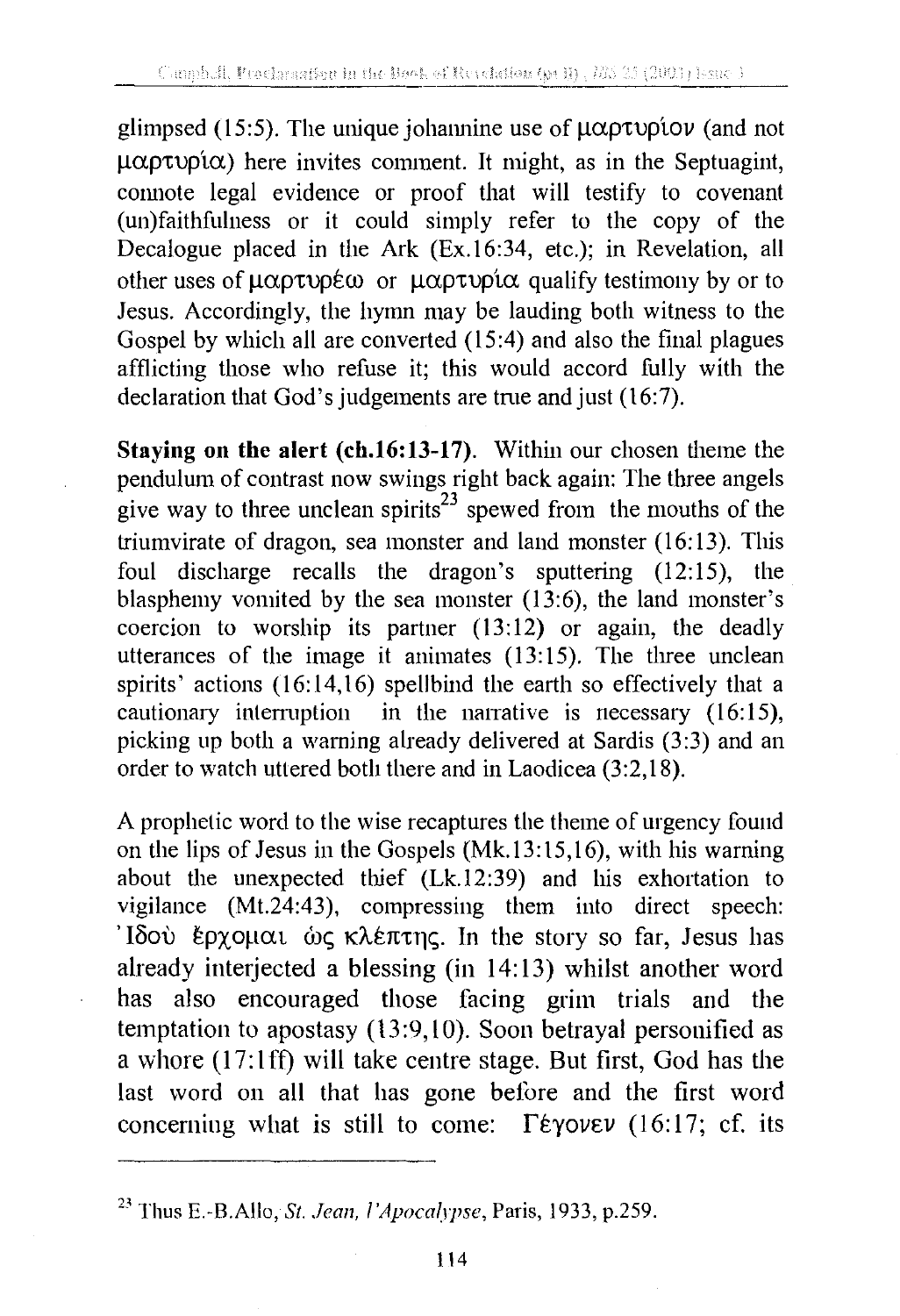glimpsed (15:5). The unique johannine use of  $\mu\alpha\rho\tau\nu\rho\omega$  (and not  $\mu\alpha\rho\tau\nu\rho\alpha$ ) here invites comment. It might, as in the Septuagint, connote legal evidence or proof that will testify to covenant (un)faithfulness or it could simply refer to the copy of the Decalogue placed in the Ark (Ex.16:34, etc.); in Revelation, all other uses of  $\mu\alpha\rho\tau\nu\rho\epsilon\omega$  or  $\mu\alpha\rho\tau\nu\rho\alpha$  qualify testimony by or to Jesus. Accordingly, the hymn may be lauding both witness to the Gospel by which all are converted (15:4) and also the final plagues afflicting those who refuse it; this would accord fully with the declaration that God's judgements are true and just (16:7).

**Staying on the alert (ch.16:13-17).** Within our chosen theme the pendulum of contrast now swings right back again: The three angels give way to three unclean spirits<sup>23</sup> spewed from the mouths of the triumvirate of dragon, sea monster and land monster (16:13). This foul discharge recalls the dragon's sputtering (12:15), the blasphemy vomited by the sea monster (13:6), the land monster's coercion to worship its partner (13:12) or again, the deadly utterances of the image it animates (13:15). The three unclean spirits' actions  $(16:14,16)$  spellbind the earth so effectively that a cautionary interruption in the narrative is necessary  $(16:15)$ , picking up both a warning already delivered at Sardis (3:3) and an order to watch uttered both there and in Laodicea (3:2, 18).

A prophetic word to the wise recaptures the theme of urgency found on the lips of Jesus in the Gospels (Mk.13:15,16), with his warning about the unexpected thief (Lk.12:39) and his exhortation to vigilance (Mt.24:43), compressing them into direct speech: 'Iδού έρχομαι ώς κλέπτης. In the story so far, Jesus has already interjected a blessing (in 14:13) whilst another word has also encouraged those facing grim trials and the temptation to apostasy (13:9,10). Soon betrayal personified as a whore  $(17:1\text{ ff})$  will take centre stage. But first, God has the last word on all that has gone before and the first word concerning what is still to come:  $\Gamma \epsilon \gamma$  over (16:17; cf. its

<sup>&</sup>lt;sup>23</sup> Thus E.-B.Allo, *St. Jean, l'Apocalypse*, Paris, 1933, p.259.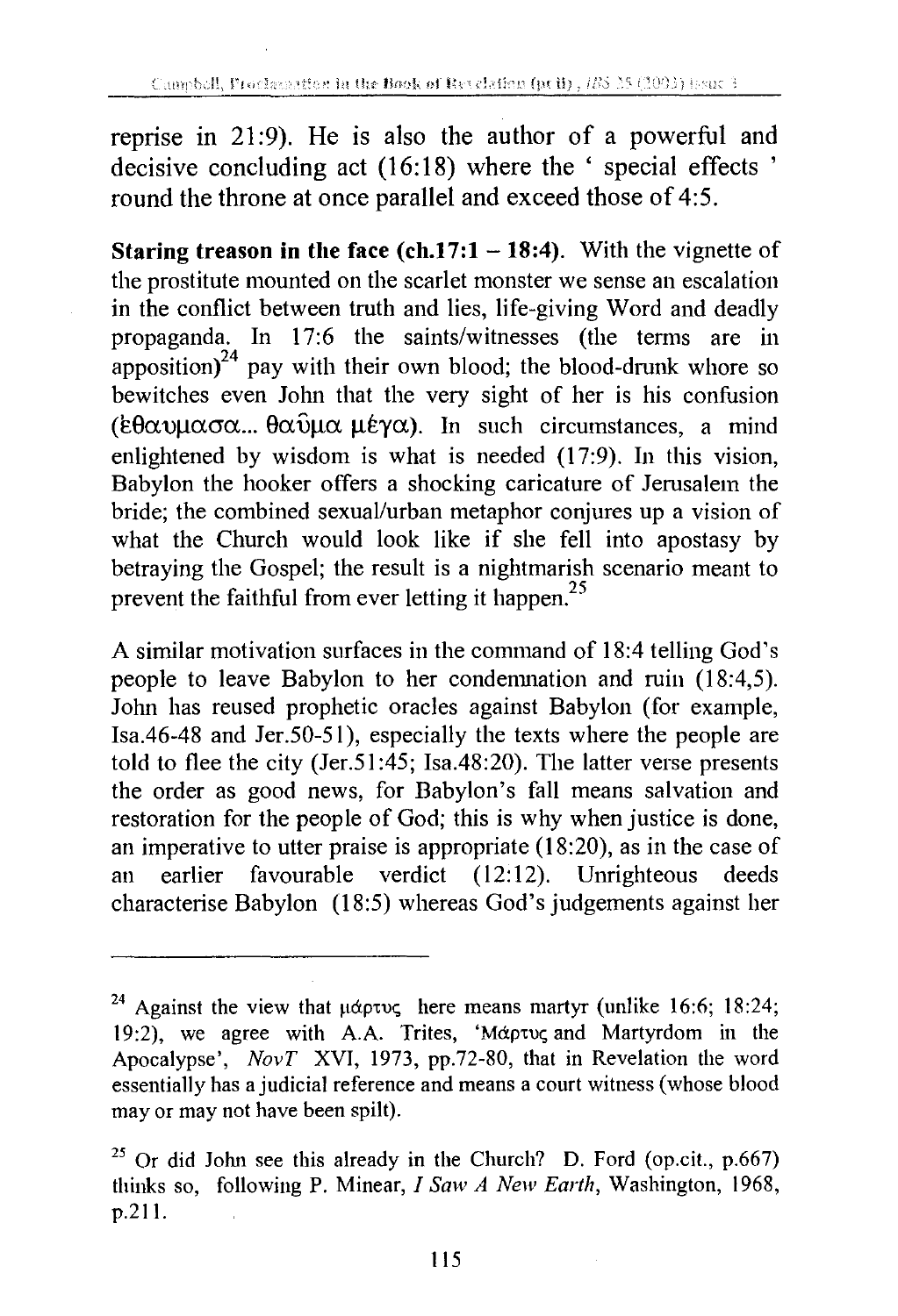reprise in 21 :9). He is also the author of a powerful and decisive concluding act (16:18) where the ' special effects ' round the throne at once parallel and exceed those of 4:5.

**Staring treason in the face (ch.17:1 - 18:4).** With the vignette of the prostitute mounted on the scarlet monster we sense an escalation in the conflict between truth and lies, life-giving Word and deadly propaganda. In 17:6 the saints/witnesses (the tenns are in apposition) $^{24}$  pay with their own blood; the blood-drunk whore so bewitches even John that the very sight of her is his confusion ( $\epsilon\theta\alpha\nu\mu\alpha\sigma\alpha...$   $\theta\alpha\nu\mu\epsilon\gamma\alpha$ ). In such circumstances, a mind enlightened by wisdom is what is needed (17:9). In this vision, Babylon the hooker offers a shocking caricature of Jerusalem the bride; the combined sexual/urban metaphor conjures up a vision of what the Church would look like if she fell into apostasy by betraying the Gospel; the result is a nightmarish scenario meant to prevent the faithful from ever letting it happen.<sup>25</sup>

A similar motivation surfaces in the command of 18:4 telling God's people to leave Babylon to her condemnation and ruin (18:4,5). John has reused prophetic oracles against Babylon (for example, Isa.46-48 and Jer.50-51 ), especially the texts where the people are told to flee the city (Jer.51 :45; Isa.48:20). The latter verse presents the order as good news, for Babylon's fall means salvation and restoration for the people of God; this is why when justice is done, an imperative to utter praise is appropriate (18:20), as in the case of an earlier favourable verdict (12:12). Unrighteous deeds characterise Babylon (18:5) whereas God's judgements against her

<sup>&</sup>lt;sup>24</sup> Against the view that  $\mu$ άρτυς here means martyr (unlike 16:6; 18:24; 19:2), we agree with A.A. Trites, ' $M\alpha\rho\tau\nu\varsigma$  and Martyrdom in the Apocalypse', *NovT* XVI, 1973, pp.72-80, that in Revelation the word essentially has a judicial reference and means a court witness (whose blood may or may not have been spilt).

<sup>&</sup>lt;sup>25</sup> Or did John see this already in the Church? D. Ford (op.cit., p.667) thinks so, following P. Minear, *I Saw A New Earth,* Washington, 1968, p.211.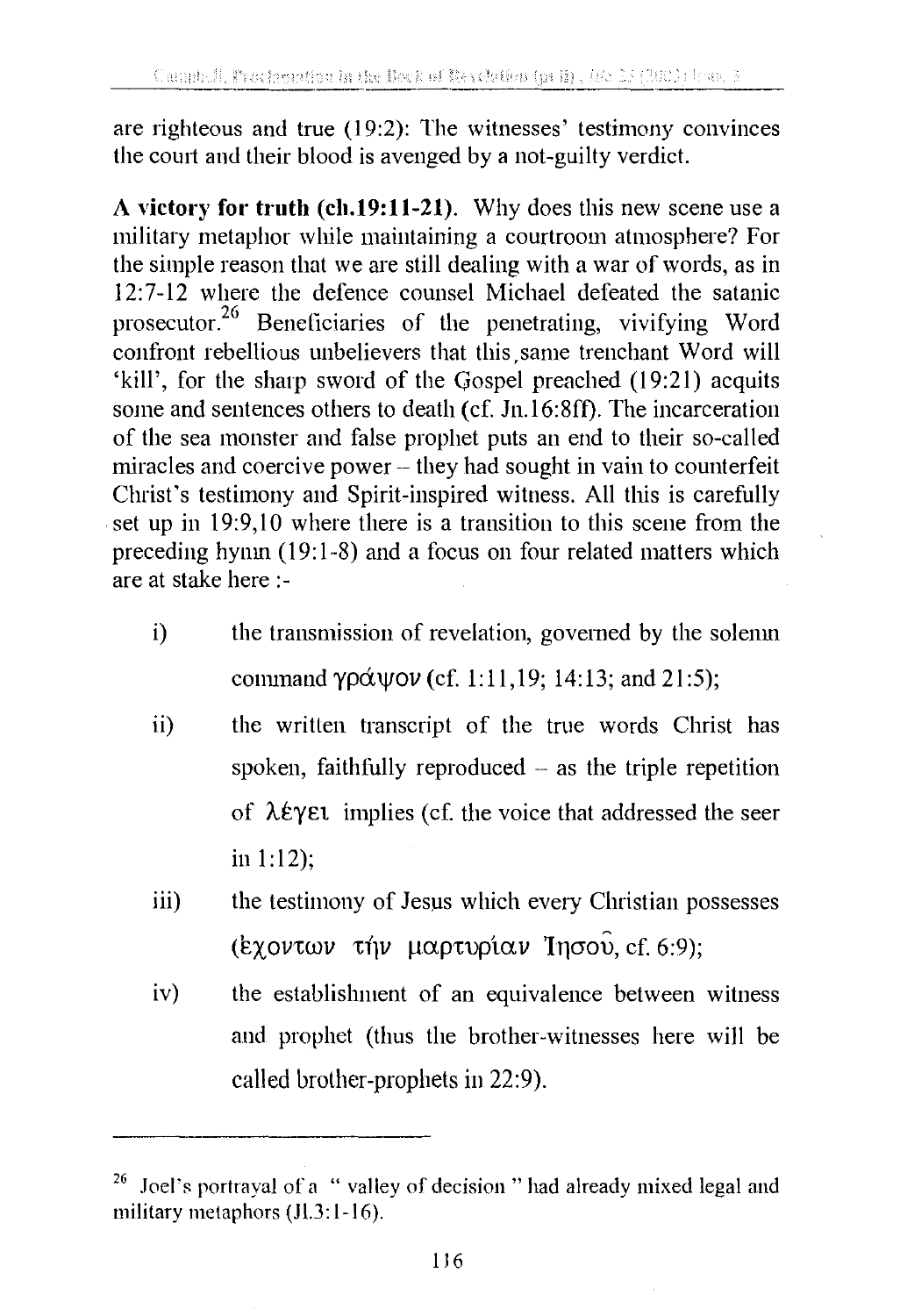are righteous and true (19:2): The witnesses' testimony convinces the court and their blood is avenged by a not-guilty verdict.

**A victory for truth (ch.19:11-21).** Why does this new scene use a military metaphor while maintaining a courtroom atmosphere? For the simple reason that we are still dealing with a war of words, as in 12:7-12 where the defence counsel Michael defeated the satanic prosecutor.<sup>26</sup> Beneficiaries of the penetrating, vivifying Word confront rebellious unbelievers that this same trenchant Word will 'kill', for the sharp sword of the Gospel preached (19:21) acquits some and sentences others to death (cf. Jn.16:8ff). The incarceration of the sea monster and false prophet puts an end to their so-called miracles and coercive power – they had sought in vain to counterfeit Christ's testimony and Spirit-inspired witness. All this is carefully set up in 19:9,10 where there is a transition to this scene from the preceding hymn (19:1-8) and a focus on four related matters which are at stake here:-

- i) the transmission of revelation, governed by the solemn command γράψον (cf. 1:11,19; 14:13; and 21:5);
- ii) the written transcript of the true words Christ has spoken, faithfully reproduced  $-$  as the triple repetition of  $\lambda \in \Upsilon$  implies (cf. the voice that addressed the seer in 1:12);
- iii) the testimony of Jesus which every Christian possesses (Exovtwo  $\tau$ ήν μαρτυρίαν Inσου, cf. 6:9);
- iv) the establishment of an equivalence between witness and prophet (thus the brother-witnesses here will be called brother-prophets in 22:9).

Joel's portrayal of a " valley of decision " had already mixed legal and military metaphors  $(JI.3:1-16)$ .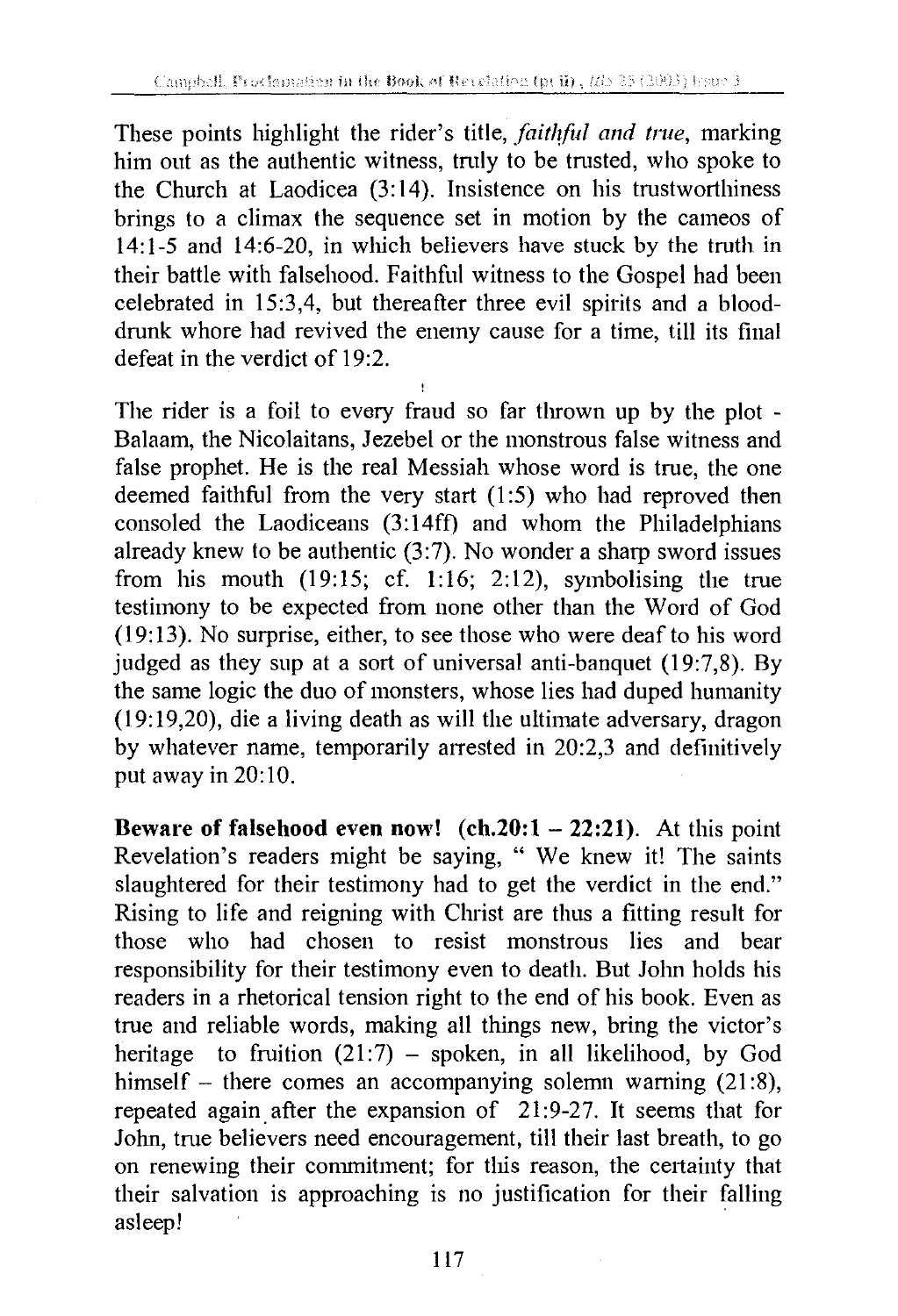These points highlight the rider's title, *faithful and true*, marking him out as the authentic witness, tmly to be trusted, who spoke to the Church at Laodicea (3:14). Insistence on his trustworthiness brings to a climax the sequence set in motion by the cameos of 14:1-5 and 14:6-20, in which believers have stuck by the truth in their battle with falsehood. Faithful witness to the Gospel had been celebrated in 15:3,4, but thereafter three evil spirits and a blooddrunk whore had revived the enemy cause for a time, till its final defeat in the verdict of 19:2.

The rider is a foil to every fraud so far thrown up by the plot - Balaam, the Nicolaitans, Jezebel or the monstrous false witness and false prophet. He is the real Messiah whose word is true, the one deemed faithful from the very start (1:5) who had reproved then consoled the Laodiceans  $(3:14\text{ ff})$  and whom the Philadelphians already knew to be authentic  $(3:7)$ . No wonder a sharp sword issues from his mouth (19:15; cf. 1:16; 2:12), symbolising the true testimony to be expected from none other than the Word of God (19: 13). No surprise, either, to see those who were deaf to his word judged as they sup at a sort of universal anti-banquet (19:7,8). By the same logic the duo of monsters, whose lies had duped humanity (19:19,20), die a living death as will the ultimate adversary, dragon by whatever name, temporarily arrested in 20:2,3 and definitively put away in 20:10.

**Beware of falsehood even now! (ch.20:1 - 22:21).** At this point Revelation's readers might be saying, " We knew it! The saints slaughtered for their testimony had to get the verdict in the end." Rising to life and reigning with Christ are thus a fitting result for those who had chosen to resist monstrous lies and bear responsibility for their testimony even to death. But John holds his readers in a rhetorical tension right to the end of his book. Even as true and reliable words, making all things new, bring the victor's heritage to fruition  $(21.7)$  – spoken, in all likelihood, by God himself - there comes an accompanying solemn warning  $(21:8)$ , repeated again. after the expansion of 21 :9-27. It seems that for John, true believers need encouragement, till their last breath, to go on renewing their commitment; for this reason, the certainty that their salvation is approaching is no justification for their falling asleep!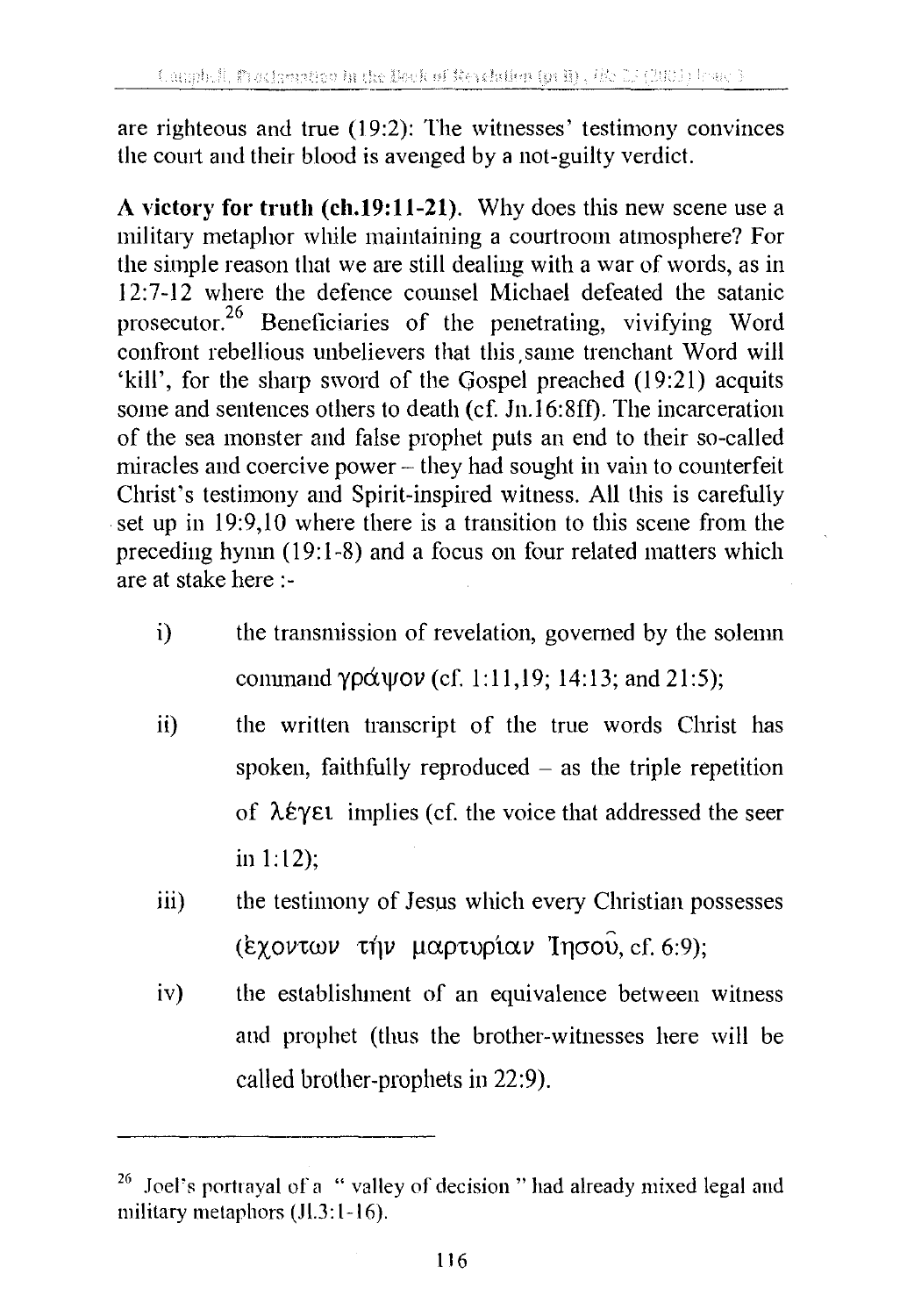are righteous and true  $(19:2)$ : The witnesses' testimony convinces the comt and their blood is avenged by a not-guilty verdict.

**A victory for truth (ch.19:11-21).** Why does this new scene use a military metaphor while maintaining a courtroom atmosphere? For the simple reason that we are still dealing with a war of words, as in 12:7-12 where the defence counsel Michael defeated the satanic prosecutor.26 Beneficiaries of the penetrating, vivifying Word confront rebellious unbelievers that this ,same trenchant Word will 'kill', for the sharp sword of the Gospel preached (19:21) acquits some and sentences others to death (cf. Jn.16:8ff). The incarceration of the sea monster and false prophet puts an end to their so-called miracles and coercive power – they had sought in vain to counterfeit Christ's testimony and Spirit-inspired witness. All this is carefully set up in 19:9,10 where there is a transition to this scene from the preceding hymn (19:1-8) and a focus on four related matters which are at stake here:-

- i) the transmission of revelation, governed by the solemn command  $\gamma \rho \alpha \psi \circ \nu$  (cf. 1:11,19; 14:13; and 21:5);
- ii) the written transcript of the true words Christ has spoken, faithfully reproduced  $-$  as the triple repetition of  $\lambda \epsilon \gamma \epsilon t$  implies (cf. the voice that addressed the seer in 1: 12);
- iii) the testimony of Jesus which every Christian possesses (Exovt $\omega \nu$  the *u*aptuptav Inoou, cf. 6:9);
- iv) the establishment of an equivalence between witness and prophet (thus the brother-witnesses here will be called brother-prophets in 22:9).

Joel's portrayal of a "valley of decision" had already mixed legal and military metaphors  $(JI.3:1-16)$ .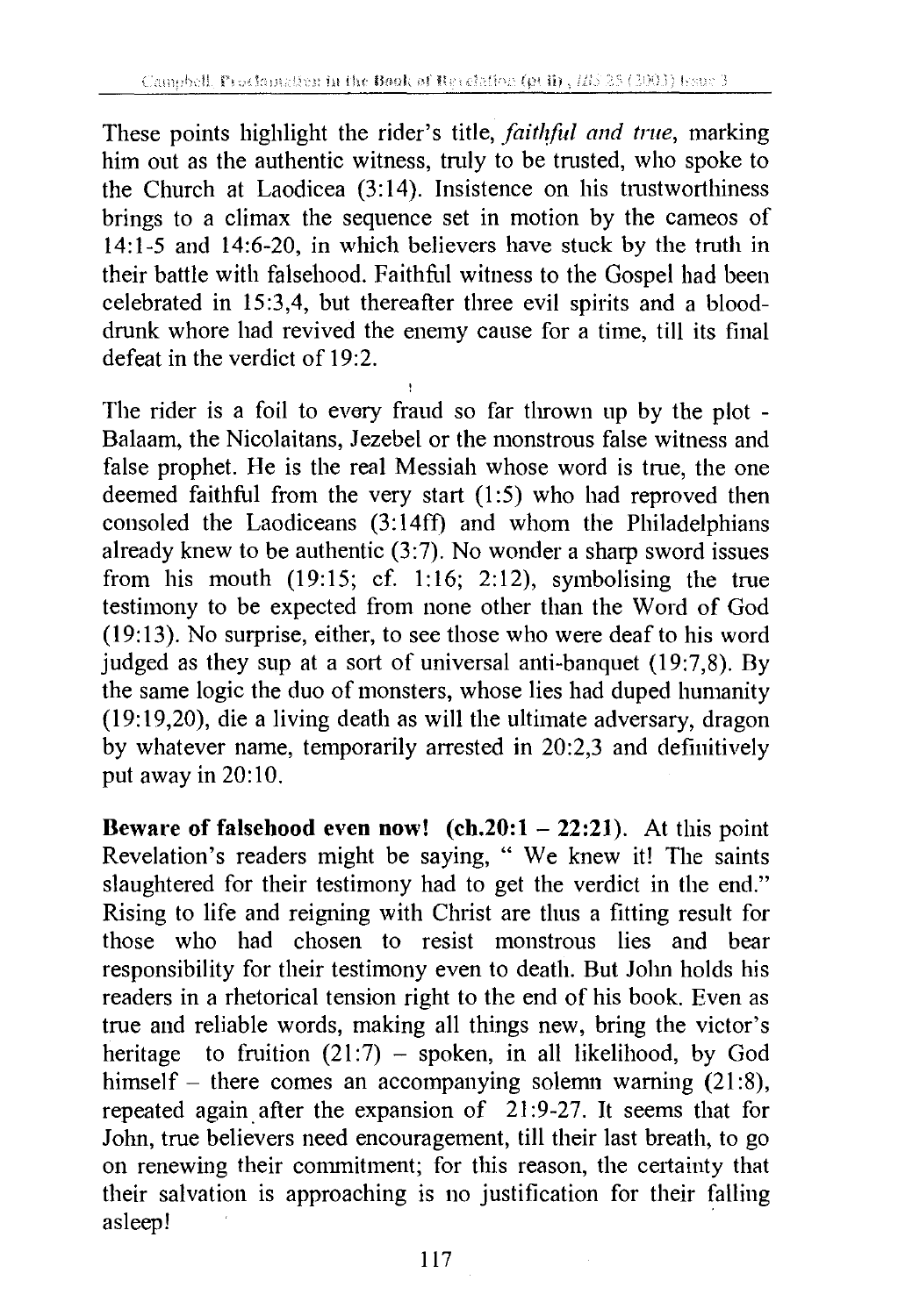These points highlight the rider's title, *faithful and true*, marking him out as the authentic witness, truly to be trusted, who spoke to the Church at Laodicea (3:14). Insistence on his trustworthiness brings to a climax the sequence set in motion by the cameos of 14:1-5 and 14:6-20, in which believers have stuck by the truth in their battle with falsehood. Faithfol witness to the Gospel had been celebrated in 15:3,4, but thereafter three evil spirits and a blooddrunk whore had revived the enemy cause for a time, till its final defeat in the verdict of 19:2.

The rider is a foil to every fraud so far thrown up by the plot - Balaam, the Nicolaitans, Jezebel or the monstrous false witness and false prophet. He is the real Messiah whose word is true, the one deemed faithful from the very start (1:5) who had reproved then consoled the Laodiceans (3:14ff) and whom the Philadelphians already knew to be authentic  $(3:7)$ . No wonder a sharp sword issues from his mouth (19:15; cf. 1:16; 2:12), symbolising the true testimony to be expected from none other than the Word of God (19:13). No surprise, either, to see those who were deaf to his word judged as they sup at a sort of universal anti-banquet (19:7,8). By the same logic the duo of monsters, whose lies had duped humanity (19:19,20), die a living death as will the ultimate adversary, dragon by whatever name, temporarily arrested in 20:2,3 and definitively put away in 20:10.

**Beware of falsehood even now! (ch.20:1 - 22:21).** At this point Revelation's readers might be saying, " We knew it! The saints slaughtered for their testimony had to get the verdict in the end." Rising to life and reigning with Christ are thus a fitting result for those who had chosen to resist monstrous lies and bear responsibility for their testimony even to death. But John holds his readers in a rhetorical tension right to the end of his book. Even as true and reliable words, making all things new, bring the victor's heritage to fruition  $(21:7)$  - spoken, in all likelihood, by God himself - there comes an accompanying solemn warning (21:8), repeated again after the expansion of 21:9-27. It seems that for John, true believers need encouragement, till their last breath, to go on renewing their commitment; for this reason, the certainty that their salvation is approaching is no justification for their falling asleep!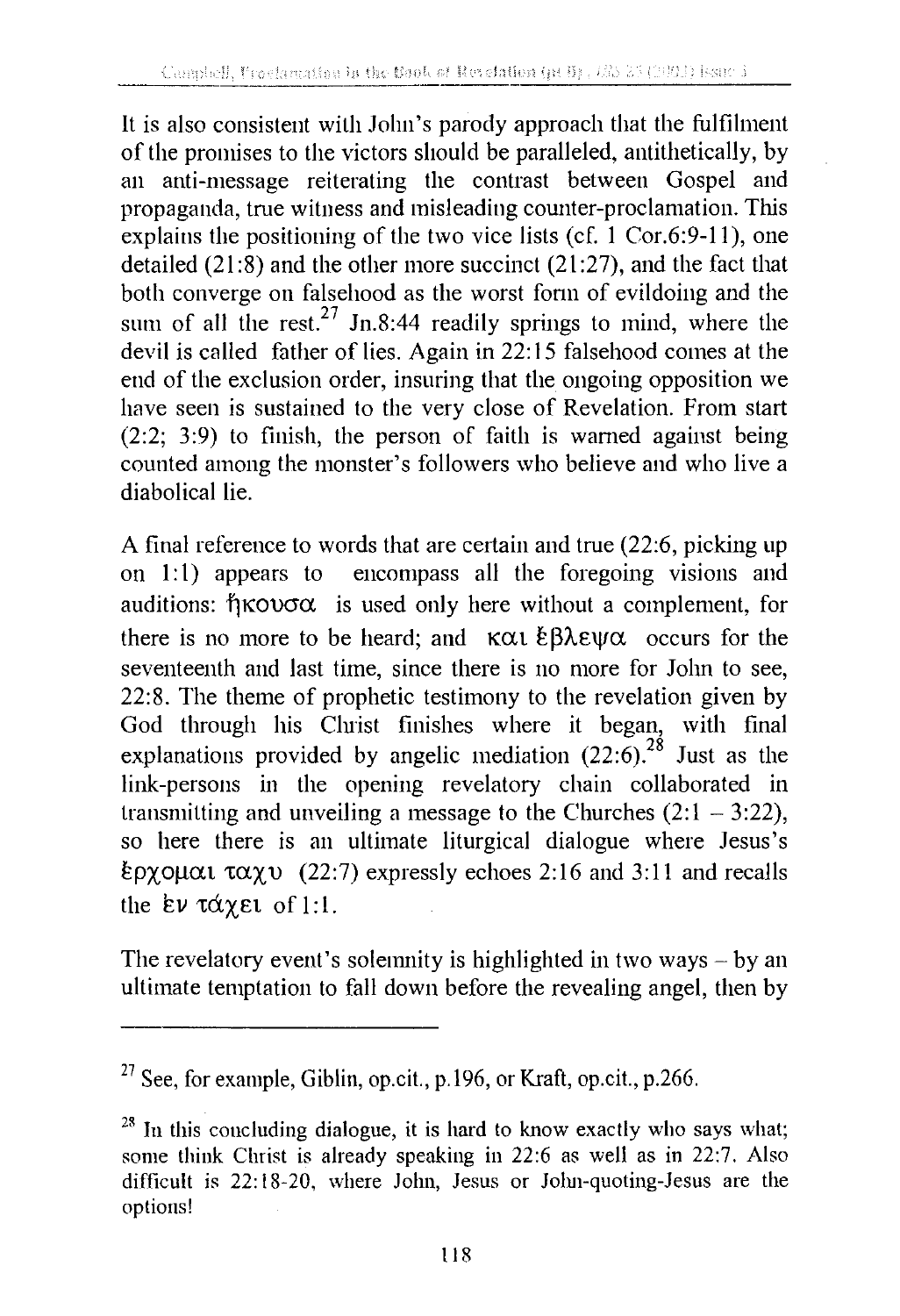It is also consistent with John's parody approach that the fulfilment of the promises to the victors should be paralleled, antithetically, by an anti-message reiterating the contrast between Gospel and propaganda, trne witness and misleading counter-proclamation. This explains the positioning of the two vice lists (cf. 1 Cor.6:9-11), one detailed (21:8) and the other more succinct (21:27), and the fact that both converge on falsehood as the worst fonn of evildoing and the sum of all the rest.<sup>27</sup> Jn.8:44 readily springs to mind, where the devil is called father of lies. Again in 22: 15 falsehood comes at the end of the exclusion order, insuring that the ongoing opposition we have seen is sustained to the very close of Revelation. From start (2:2; 3:9) to finish, the person of faith is warned against being counted among the monster's followers who believe and who live a diabolical lie.

A final reference to words that are certain and true (22:6, picking up on 1:1) appears to encompass all the foregoing visions and auditions:  $\eta \kappa \omega \sigma \alpha$  is used only here without a complement, for there is no more to be heard; and  $\kappa \alpha \iota \xi \beta \lambda \varepsilon \psi \alpha$  occurs for the seventeenth and last time, since there is no more for John to see, 22:8. The theme of prophetic testimony to the revelation given by God through his Christ finishes where it began, with final explanations provided by angelic mediation  $(22:6)$ .<sup>28</sup> Just as the link-persons in the opening revelatory chain collaborated in transmitting and unveiling a message to the Churches  $(2: 1 - 3:22)$ , so here there is an ultimate liturgical dialogue where Jesus's  $\epsilon$ ρχομαι ταχυ (22:7) expressly echoes 2:16 and 3:11 and recalls the  $\epsilon \nu \tau \alpha \chi \epsilon \iota$  of 1:1.

The revelatory event's solenmity is highlighted in two ways  $-$  by an ultimate temptation to fall down before the revealing angel, then by

 $27$  See, for example, Giblin, op.cit., p.196, or Kraft, op.cit., p.266.

 $28$  In this concluding dialogue, it is hard to know exactly who says what; some think Christ is already speaking in 22:6 as well as in 22:7. Also difficult is 22: 18-20, where John, Jesus or Jolm-quoting-Jesus are the options!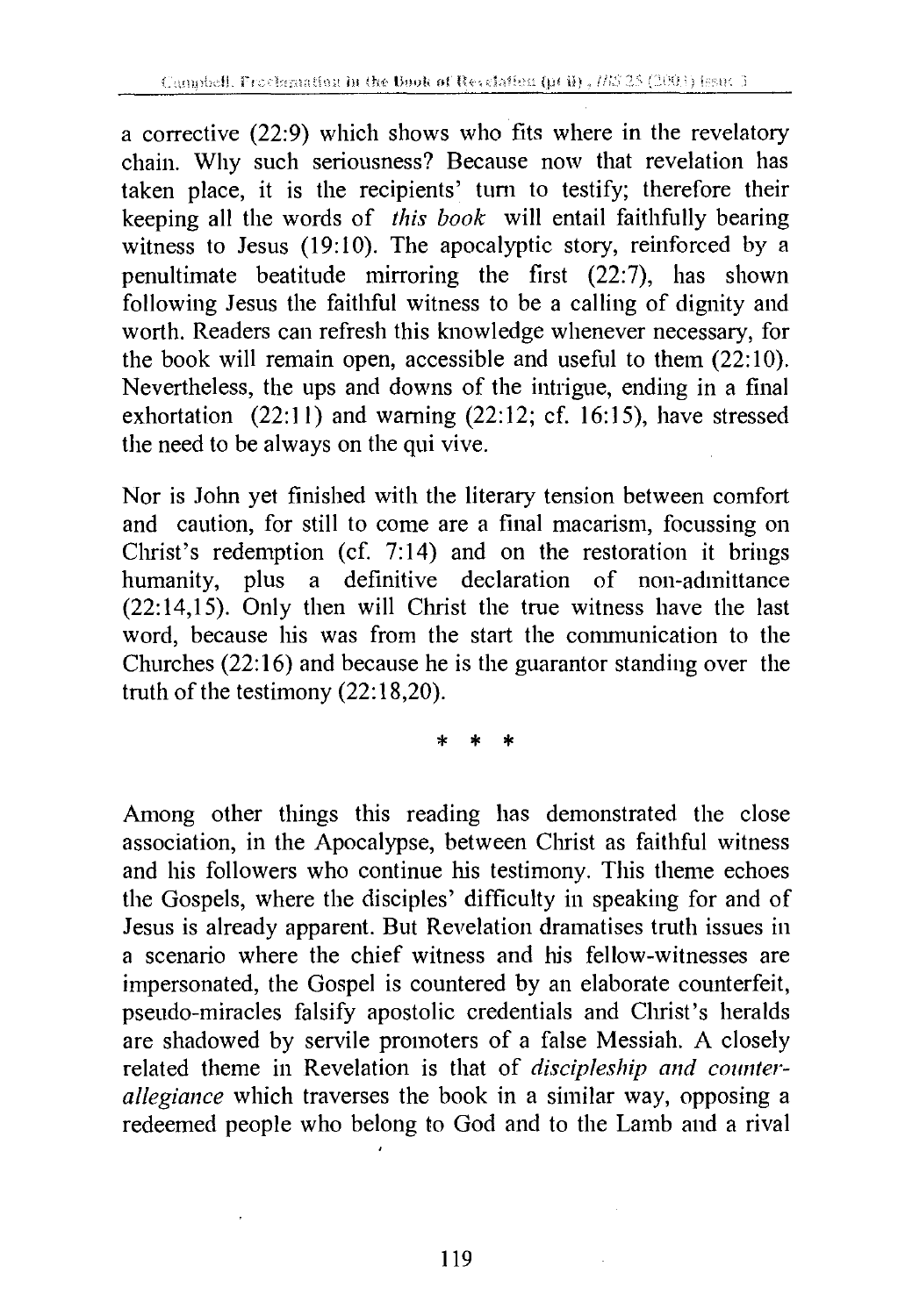a corrective (22:9) which shows who fits where in the revelatory chain. Why such seriousness? Because now that revelation has taken place, it is the recipients' tum to testify; therefore their keeping all the words of *this book* will entail faithfully bearing witness to Jesus (19:10). The apocalyptic story, reinforced by a penultimate beatitude mirroring the first (22:7), has shown following Jesus the faithful witness to be a calling of dignity and worth. Readers can refresh this knowledge whenever necessary, for the book will remain open, accessible and useful to them  $(22:10)$ . Nevertheless, the ups and downs of the intrigue, ending in a final exhortation  $(22:11)$  and warning  $(22:12; cf. 16:15)$ , have stressed the need to be always on the qui vive.

Nor is John yet finished with the literary tension between comfort and caution, for still to come are a final macarism, focussing on Christ's redemption (cf. 7:14) and on the restoration it brings humanity, plus a definitive declaration of non-admittance (22: 14,15). Only then will Christ the true witness have the last word, because his was from the start the communication to the Churches (22: 16) and because he is the guarantor standing over the truth of the testimony (22:18,20).

\* \* \*

Among other things this reading has demonstrated the close association, in the Apocalypse, between Christ as faithful witness and his followers who continue his testimony. This theme echoes the Gospels, where the disciples' difficulty in speaking for and of Jesus is already apparent. But Revelation dramatises truth issues in a scenario where the chief witness and his fellow-witnesses are impersonated, the Gospel is countered by an elaborate counterfeit, pseudo-miracles falsify apostolic credentials and Christ's heralds are shadowed by servile promoters of a false Messiah. A closely related theme in Revelation is that of *discipleship and counteral!egiance* which traverses the book in a similar way, opposing a redeemed people who belong to God and to the Lamb and a rival